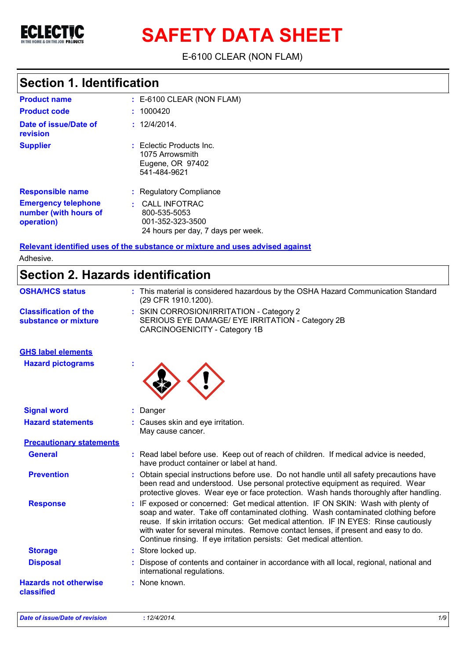

**SAFETY DATA SHEET**

E-6100 CLEAR (NON FLAM)

### **Section 1. Identification**

| <b>Product name</b>                                               | $: E-6100$ CLEAR (NON FLAM)                                                                          |
|-------------------------------------------------------------------|------------------------------------------------------------------------------------------------------|
| <b>Product code</b>                                               | : 1000420                                                                                            |
| Date of issue/Date of<br>revision                                 | : 12/4/2014.                                                                                         |
| <b>Supplier</b>                                                   | Eclectic Products Inc.<br>1075 Arrowsmith<br>Eugene, OR 97402<br>541-484-9621                        |
| <b>Responsible name</b>                                           | : Regulatory Compliance                                                                              |
| <b>Emergency telephone</b><br>number (with hours of<br>operation) | <b>CALL INFOTRAC</b><br>÷.<br>800-535-5053<br>001-352-323-3500<br>24 hours per day, 7 days per week. |

**Relevant identified uses of the substance or mixture and uses advised against** Adhesive.

|  |  | Section 2. Hazards identification |  |
|--|--|-----------------------------------|--|

| : This material is considered hazardous by the OSHA Hazard Communication Standard<br>(29 CFR 1910.1200).                                                                                                                                                                                                                                                                                                                     |
|------------------------------------------------------------------------------------------------------------------------------------------------------------------------------------------------------------------------------------------------------------------------------------------------------------------------------------------------------------------------------------------------------------------------------|
| : SKIN CORROSION/IRRITATION - Category 2                                                                                                                                                                                                                                                                                                                                                                                     |
| SERIOUS EYE DAMAGE/ EYE IRRITATION - Category 2B<br><b>CARCINOGENICITY - Category 1B</b>                                                                                                                                                                                                                                                                                                                                     |
|                                                                                                                                                                                                                                                                                                                                                                                                                              |
|                                                                                                                                                                                                                                                                                                                                                                                                                              |
| : Danger                                                                                                                                                                                                                                                                                                                                                                                                                     |
| : Causes skin and eye irritation.<br>May cause cancer.                                                                                                                                                                                                                                                                                                                                                                       |
|                                                                                                                                                                                                                                                                                                                                                                                                                              |
| : Read label before use. Keep out of reach of children. If medical advice is needed,<br>have product container or label at hand.                                                                                                                                                                                                                                                                                             |
| Obtain special instructions before use. Do not handle until all safety precautions have<br>been read and understood. Use personal protective equipment as required. Wear<br>protective gloves. Wear eye or face protection. Wash hands thoroughly after handling.                                                                                                                                                            |
| : IF exposed or concerned: Get medical attention. IF ON SKIN: Wash with plenty of<br>soap and water. Take off contaminated clothing. Wash contaminated clothing before<br>reuse. If skin irritation occurs: Get medical attention. IF IN EYES: Rinse cautiously<br>with water for several minutes. Remove contact lenses, if present and easy to do.<br>Continue rinsing. If eye irritation persists: Get medical attention. |
| : Store locked up.                                                                                                                                                                                                                                                                                                                                                                                                           |
| Dispose of contents and container in accordance with all local, regional, national and<br>international regulations.                                                                                                                                                                                                                                                                                                         |
| : None known.                                                                                                                                                                                                                                                                                                                                                                                                                |
|                                                                                                                                                                                                                                                                                                                                                                                                                              |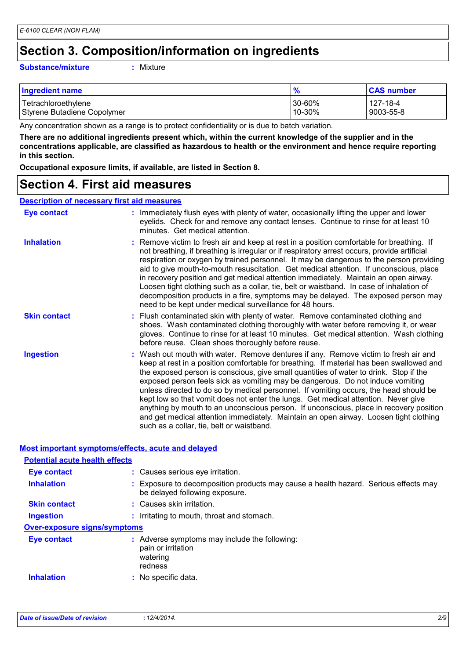### **Section 3. Composition/information on ingredients**

#### **Substance/mixture :**

: Mixture

| <b>Ingredient name</b>      | $\frac{9}{6}$ | <b>CAS number</b> |
|-----------------------------|---------------|-------------------|
| Tetrachloroethylene         | $130 - 60%$   | 127-18-4          |
| Styrene Butadiene Copolymer | $110 - 30%$   | 9003-55-8         |

Any concentration shown as a range is to protect confidentiality or is due to batch variation.

**There are no additional ingredients present which, within the current knowledge of the supplier and in the concentrations applicable, are classified as hazardous to health or the environment and hence require reporting in this section.**

**Occupational exposure limits, if available, are listed in Section 8.**

### **Section 4. First aid measures**

#### **Description of necessary first aid measures**

| <b>Eye contact</b>  | : Immediately flush eyes with plenty of water, occasionally lifting the upper and lower<br>eyelids. Check for and remove any contact lenses. Continue to rinse for at least 10<br>minutes. Get medical attention.                                                                                                                                                                                                                                                                                                                                                                                                                                                                                                                                                         |
|---------------------|---------------------------------------------------------------------------------------------------------------------------------------------------------------------------------------------------------------------------------------------------------------------------------------------------------------------------------------------------------------------------------------------------------------------------------------------------------------------------------------------------------------------------------------------------------------------------------------------------------------------------------------------------------------------------------------------------------------------------------------------------------------------------|
| <b>Inhalation</b>   | : Remove victim to fresh air and keep at rest in a position comfortable for breathing. If<br>not breathing, if breathing is irregular or if respiratory arrest occurs, provide artificial<br>respiration or oxygen by trained personnel. It may be dangerous to the person providing<br>aid to give mouth-to-mouth resuscitation. Get medical attention. If unconscious, place<br>in recovery position and get medical attention immediately. Maintain an open airway.<br>Loosen tight clothing such as a collar, tie, belt or waistband. In case of inhalation of<br>decomposition products in a fire, symptoms may be delayed. The exposed person may<br>need to be kept under medical surveillance for 48 hours.                                                       |
| <b>Skin contact</b> | : Flush contaminated skin with plenty of water. Remove contaminated clothing and<br>shoes. Wash contaminated clothing thoroughly with water before removing it, or wear<br>gloves. Continue to rinse for at least 10 minutes. Get medical attention. Wash clothing<br>before reuse. Clean shoes thoroughly before reuse.                                                                                                                                                                                                                                                                                                                                                                                                                                                  |
| <b>Ingestion</b>    | : Wash out mouth with water. Remove dentures if any. Remove victim to fresh air and<br>keep at rest in a position comfortable for breathing. If material has been swallowed and<br>the exposed person is conscious, give small quantities of water to drink. Stop if the<br>exposed person feels sick as vomiting may be dangerous. Do not induce vomiting<br>unless directed to do so by medical personnel. If vomiting occurs, the head should be<br>kept low so that vomit does not enter the lungs. Get medical attention. Never give<br>anything by mouth to an unconscious person. If unconscious, place in recovery position<br>and get medical attention immediately. Maintain an open airway. Loosen tight clothing<br>such as a collar, tie, belt or waistband. |

#### **Most important symptoms/effects, acute and delayed**

| <b>Potential acute health effects</b> |                                                                                                                       |
|---------------------------------------|-----------------------------------------------------------------------------------------------------------------------|
| Eye contact                           | : Causes serious eye irritation.                                                                                      |
| <b>Inhalation</b>                     | : Exposure to decomposition products may cause a health hazard. Serious effects may<br>be delayed following exposure. |
| <b>Skin contact</b>                   | : Causes skin irritation.                                                                                             |
| Ingestion                             | : Irritating to mouth, throat and stomach.                                                                            |
| <b>Over-exposure signs/symptoms</b>   |                                                                                                                       |
| Eye contact                           | : Adverse symptoms may include the following:<br>pain or irritation<br>watering<br>redness                            |
| <b>Inhalation</b>                     | : No specific data.                                                                                                   |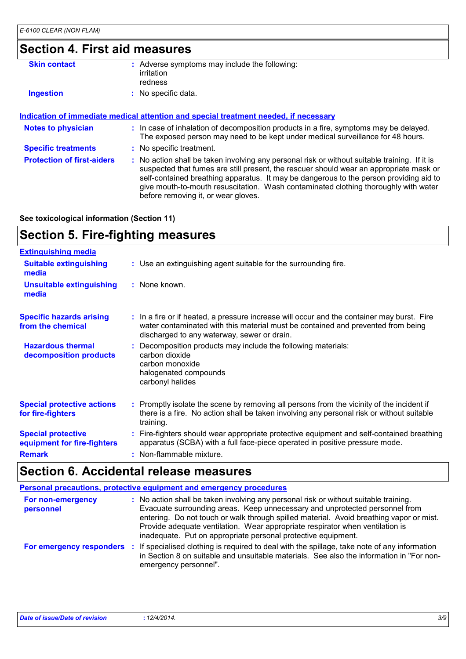### **Section 4. First aid measures**

| : Adverse symptoms may include the following:<br>irritation<br>redness                                                                                                                                                                                                                                                                                                                                          |
|-----------------------------------------------------------------------------------------------------------------------------------------------------------------------------------------------------------------------------------------------------------------------------------------------------------------------------------------------------------------------------------------------------------------|
| : No specific data.                                                                                                                                                                                                                                                                                                                                                                                             |
|                                                                                                                                                                                                                                                                                                                                                                                                                 |
| <b>Indication of immediate medical attention and special treatment needed, if necessary</b>                                                                                                                                                                                                                                                                                                                     |
| : In case of inhalation of decomposition products in a fire, symptoms may be delayed.<br>The exposed person may need to be kept under medical surveillance for 48 hours.                                                                                                                                                                                                                                        |
| : No specific treatment.                                                                                                                                                                                                                                                                                                                                                                                        |
| : No action shall be taken involving any personal risk or without suitable training. If it is<br>suspected that fumes are still present, the rescuer should wear an appropriate mask or<br>self-contained breathing apparatus. It may be dangerous to the person providing aid to<br>give mouth-to-mouth resuscitation. Wash contaminated clothing thoroughly with water<br>before removing it, or wear gloves. |
|                                                                                                                                                                                                                                                                                                                                                                                                                 |

**See toxicological information (Section 11)**

### **Section 5. Fire-fighting measures**

| <b>Extinguishing media</b>                               |                                                                                                                                                                                                                               |
|----------------------------------------------------------|-------------------------------------------------------------------------------------------------------------------------------------------------------------------------------------------------------------------------------|
| <b>Suitable extinguishing</b><br>media                   | : Use an extinguishing agent suitable for the surrounding fire.                                                                                                                                                               |
| <b>Unsuitable extinguishing</b><br>media                 | : None known.                                                                                                                                                                                                                 |
| <b>Specific hazards arising</b><br>from the chemical     | : In a fire or if heated, a pressure increase will occur and the container may burst. Fire<br>water contaminated with this material must be contained and prevented from being<br>discharged to any waterway, sewer or drain. |
| <b>Hazardous thermal</b><br>decomposition products       | Decomposition products may include the following materials:<br>carbon dioxide<br>carbon monoxide<br>halogenated compounds<br>carbonyl halides                                                                                 |
| <b>Special protective actions</b><br>for fire-fighters   | : Promptly isolate the scene by removing all persons from the vicinity of the incident if<br>there is a fire. No action shall be taken involving any personal risk or without suitable<br>training.                           |
| <b>Special protective</b><br>equipment for fire-fighters | : Fire-fighters should wear appropriate protective equipment and self-contained breathing<br>apparatus (SCBA) with a full face-piece operated in positive pressure mode.                                                      |
| <b>Remark</b>                                            | : Non-flammable mixture.                                                                                                                                                                                                      |

### **Section 6. Accidental release measures**

|                                | Personal precautions, protective equipment and emergency procedures                                                                                                                                                                                                                                                                                                                                              |
|--------------------------------|------------------------------------------------------------------------------------------------------------------------------------------------------------------------------------------------------------------------------------------------------------------------------------------------------------------------------------------------------------------------------------------------------------------|
| For non-emergency<br>personnel | : No action shall be taken involving any personal risk or without suitable training.<br>Evacuate surrounding areas. Keep unnecessary and unprotected personnel from<br>entering. Do not touch or walk through spilled material. Avoid breathing vapor or mist.<br>Provide adequate ventilation. Wear appropriate respirator when ventilation is<br>inadequate. Put on appropriate personal protective equipment. |
| For emergency responders       | If specialised clothing is required to deal with the spillage, take note of any information<br>-11<br>in Section 8 on suitable and unsuitable materials. See also the information in "For non-<br>emergency personnel".                                                                                                                                                                                          |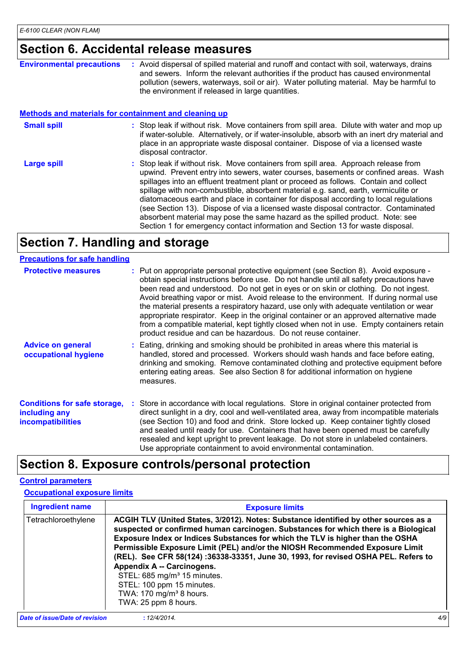### **Section 6. Accidental release measures**

| <b>Environmental precautions</b>                             | : Avoid dispersal of spilled material and runoff and contact with soil, waterways, drains<br>and sewers. Inform the relevant authorities if the product has caused environmental<br>pollution (sewers, waterways, soil or air). Water polluting material. May be harmful to<br>the environment if released in large quantities.                                                                                                                                                                                                                                                                                            |
|--------------------------------------------------------------|----------------------------------------------------------------------------------------------------------------------------------------------------------------------------------------------------------------------------------------------------------------------------------------------------------------------------------------------------------------------------------------------------------------------------------------------------------------------------------------------------------------------------------------------------------------------------------------------------------------------------|
| <b>Methods and materials for containment and cleaning up</b> |                                                                                                                                                                                                                                                                                                                                                                                                                                                                                                                                                                                                                            |
| <b>Small spill</b>                                           | : Stop leak if without risk. Move containers from spill area. Dilute with water and mop up<br>if water-soluble. Alternatively, or if water-insoluble, absorb with an inert dry material and<br>place in an appropriate waste disposal container. Dispose of via a licensed waste<br>disposal contractor.                                                                                                                                                                                                                                                                                                                   |
| <b>Large spill</b>                                           | : Stop leak if without risk. Move containers from spill area. Approach release from<br>upwind. Prevent entry into sewers, water courses, basements or confined areas. Wash<br>spillages into an effluent treatment plant or proceed as follows. Contain and collect<br>spillage with non-combustible, absorbent material e.g. sand, earth, vermiculite or<br>diatomaceous earth and place in container for disposal according to local regulations<br>(see Section 13). Dispose of via a licensed waste disposal contractor. Contaminated<br>absorbent material may pose the same hazard as the spilled product. Note: see |

Section 1 for emergency contact information and Section 13 for waste disposal.

## **Section 7. Handling and storage**

| <b>Precautions for safe handling</b>                                             |                                                                                                                                                                                                                                                                                                                                                                                                                                                                                                                                                                                                                                                                                                                  |
|----------------------------------------------------------------------------------|------------------------------------------------------------------------------------------------------------------------------------------------------------------------------------------------------------------------------------------------------------------------------------------------------------------------------------------------------------------------------------------------------------------------------------------------------------------------------------------------------------------------------------------------------------------------------------------------------------------------------------------------------------------------------------------------------------------|
| <b>Protective measures</b>                                                       | : Put on appropriate personal protective equipment (see Section 8). Avoid exposure -<br>obtain special instructions before use. Do not handle until all safety precautions have<br>been read and understood. Do not get in eyes or on skin or clothing. Do not ingest.<br>Avoid breathing vapor or mist. Avoid release to the environment. If during normal use<br>the material presents a respiratory hazard, use only with adequate ventilation or wear<br>appropriate respirator. Keep in the original container or an approved alternative made<br>from a compatible material, kept tightly closed when not in use. Empty containers retain<br>product residue and can be hazardous. Do not reuse container. |
| <b>Advice on general</b><br>occupational hygiene                                 | : Eating, drinking and smoking should be prohibited in areas where this material is<br>handled, stored and processed. Workers should wash hands and face before eating,<br>drinking and smoking. Remove contaminated clothing and protective equipment before<br>entering eating areas. See also Section 8 for additional information on hygiene<br>measures.                                                                                                                                                                                                                                                                                                                                                    |
| <b>Conditions for safe storage,</b><br>including any<br><i>incompatibilities</i> | : Store in accordance with local regulations. Store in original container protected from<br>direct sunlight in a dry, cool and well-ventilated area, away from incompatible materials<br>(see Section 10) and food and drink. Store locked up. Keep container tightly closed<br>and sealed until ready for use. Containers that have been opened must be carefully<br>resealed and kept upright to prevent leakage. Do not store in unlabeled containers.<br>Use appropriate containment to avoid environmental contamination.                                                                                                                                                                                   |

### **Section 8. Exposure controls/personal protection**

#### **Control parameters**

#### **Occupational exposure limits**

| <b>Ingredient name</b>         | <b>Exposure limits</b>                                                                                                                                                                                                                                                                                                                                                                                                                                                                                                                                                                                    |     |
|--------------------------------|-----------------------------------------------------------------------------------------------------------------------------------------------------------------------------------------------------------------------------------------------------------------------------------------------------------------------------------------------------------------------------------------------------------------------------------------------------------------------------------------------------------------------------------------------------------------------------------------------------------|-----|
| Tetrachloroethylene            | ACGIH TLV (United States, 3/2012). Notes: Substance identified by other sources as a<br>suspected or confirmed human carcinogen. Substances for which there is a Biological<br>Exposure Index or Indices Substances for which the TLV is higher than the OSHA<br>Permissible Exposure Limit (PEL) and/or the NIOSH Recommended Exposure Limit<br>(REL). See CFR 58(124): 36338-33351, June 30, 1993, for revised OSHA PEL. Refers to<br>Appendix A -- Carcinogens.<br>STEL: 685 mg/m <sup>3</sup> 15 minutes.<br>STEL: 100 ppm 15 minutes.<br>TWA: 170 mg/m <sup>3</sup> 8 hours.<br>TWA: 25 ppm 8 hours. |     |
| Date of issue/Date of revision | : 12/4/2014.                                                                                                                                                                                                                                                                                                                                                                                                                                                                                                                                                                                              | 4/9 |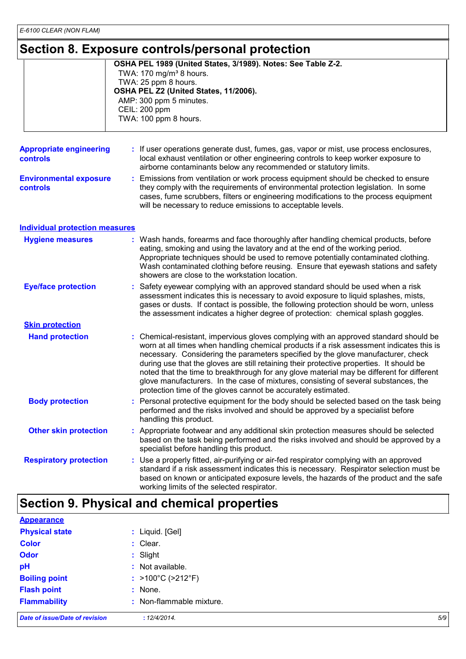### **Section 8. Exposure controls/personal protection**

|                                            |    | Occupii u. Lyposure controlsipersonal protectioni                                                                                                                                                                                                                                                                                                                                                                                                                                                                                                                                                                      |
|--------------------------------------------|----|------------------------------------------------------------------------------------------------------------------------------------------------------------------------------------------------------------------------------------------------------------------------------------------------------------------------------------------------------------------------------------------------------------------------------------------------------------------------------------------------------------------------------------------------------------------------------------------------------------------------|
|                                            |    | OSHA PEL 1989 (United States, 3/1989). Notes: See Table Z-2.<br>TWA: 170 mg/m <sup>3</sup> 8 hours.<br>TWA: 25 ppm 8 hours.<br>OSHA PEL Z2 (United States, 11/2006).<br>AMP: 300 ppm 5 minutes.<br>CEIL: 200 ppm<br>TWA: 100 ppm 8 hours.                                                                                                                                                                                                                                                                                                                                                                              |
| <b>Appropriate engineering</b><br>controls |    | : If user operations generate dust, fumes, gas, vapor or mist, use process enclosures,<br>local exhaust ventilation or other engineering controls to keep worker exposure to<br>airborne contaminants below any recommended or statutory limits.                                                                                                                                                                                                                                                                                                                                                                       |
| <b>Environmental exposure</b><br>controls  |    | Emissions from ventilation or work process equipment should be checked to ensure<br>they comply with the requirements of environmental protection legislation. In some<br>cases, fume scrubbers, filters or engineering modifications to the process equipment<br>will be necessary to reduce emissions to acceptable levels.                                                                                                                                                                                                                                                                                          |
| <b>Individual protection measures</b>      |    |                                                                                                                                                                                                                                                                                                                                                                                                                                                                                                                                                                                                                        |
| <b>Hygiene measures</b>                    |    | : Wash hands, forearms and face thoroughly after handling chemical products, before<br>eating, smoking and using the lavatory and at the end of the working period.<br>Appropriate techniques should be used to remove potentially contaminated clothing.<br>Wash contaminated clothing before reusing. Ensure that eyewash stations and safety<br>showers are close to the workstation location.                                                                                                                                                                                                                      |
| <b>Eye/face protection</b>                 | ÷. | Safety eyewear complying with an approved standard should be used when a risk<br>assessment indicates this is necessary to avoid exposure to liquid splashes, mists,<br>gases or dusts. If contact is possible, the following protection should be worn, unless<br>the assessment indicates a higher degree of protection: chemical splash goggles.                                                                                                                                                                                                                                                                    |
| <b>Skin protection</b>                     |    |                                                                                                                                                                                                                                                                                                                                                                                                                                                                                                                                                                                                                        |
| <b>Hand protection</b>                     |    | : Chemical-resistant, impervious gloves complying with an approved standard should be<br>worn at all times when handling chemical products if a risk assessment indicates this is<br>necessary. Considering the parameters specified by the glove manufacturer, check<br>during use that the gloves are still retaining their protective properties. It should be<br>noted that the time to breakthrough for any glove material may be different for different<br>glove manufacturers. In the case of mixtures, consisting of several substances, the<br>protection time of the gloves cannot be accurately estimated. |
| <b>Body protection</b>                     |    | : Personal protective equipment for the body should be selected based on the task being<br>performed and the risks involved and should be approved by a specialist before<br>handling this product.                                                                                                                                                                                                                                                                                                                                                                                                                    |
| <b>Other skin protection</b>               |    | : Appropriate footwear and any additional skin protection measures should be selected<br>based on the task being performed and the risks involved and should be approved by a<br>specialist before handling this product.                                                                                                                                                                                                                                                                                                                                                                                              |
| <b>Respiratory protection</b>              |    | : Use a properly fitted, air-purifying or air-fed respirator complying with an approved<br>standard if a risk assessment indicates this is necessary. Respirator selection must be<br>based on known or anticipated exposure levels, the hazards of the product and the safe<br>working limits of the selected respirator.                                                                                                                                                                                                                                                                                             |

# **Section 9. Physical and chemical properties**

| <b>Appearance</b>                     |                          |     |
|---------------------------------------|--------------------------|-----|
| <b>Physical state</b>                 | : Liquid. [Gel]          |     |
| <b>Color</b>                          | : Clear.                 |     |
| <b>Odor</b>                           | $:$ Slight               |     |
| pH                                    | : Not available.         |     |
| <b>Boiling point</b>                  | : >100°C (>212°F)        |     |
| <b>Flash point</b>                    | : None.                  |     |
| <b>Flammability</b>                   | : Non-flammable mixture. |     |
| <b>Date of issue/Date of revision</b> | : 12/4/2014.             | 5/9 |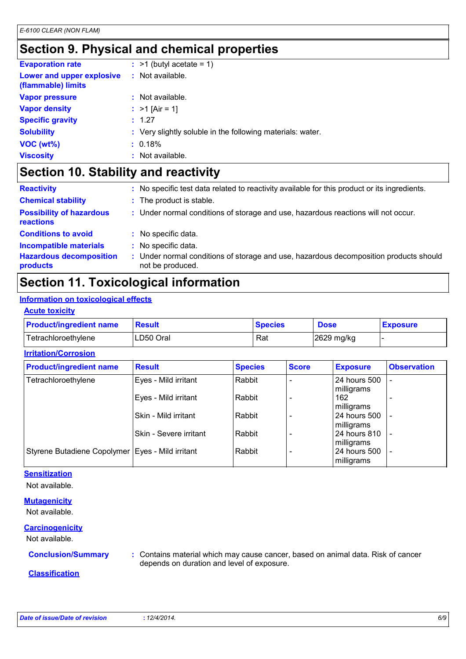### **Section 9. Physical and chemical properties**

| <b>Evaporation rate</b>                         | $:$ >1 (butyl acetate = 1)                                 |
|-------------------------------------------------|------------------------------------------------------------|
| Lower and upper explosive<br>(flammable) limits | : Not available.                                           |
| <b>Vapor pressure</b>                           | $:$ Not available.                                         |
| <b>Vapor density</b>                            | : $>1$ [Air = 1]                                           |
| <b>Specific gravity</b>                         | : 1.27                                                     |
| <b>Solubility</b>                               | : Very slightly soluble in the following materials: water. |
| VOC (wt%)                                       | : 0.18%                                                    |
| <b>Viscosity</b>                                | : Not available.                                           |

### **Section 10. Stability and reactivity**

| <b>Reactivity</b>                            | : No specific test data related to reactivity available for this product or its ingredients.            |
|----------------------------------------------|---------------------------------------------------------------------------------------------------------|
| <b>Chemical stability</b>                    | : The product is stable.                                                                                |
| <b>Possibility of hazardous</b><br>reactions | : Under normal conditions of storage and use, hazardous reactions will not occur.                       |
| <b>Conditions to avoid</b>                   | : No specific data.                                                                                     |
| <b>Incompatible materials</b>                | No specific data.                                                                                       |
| <b>Hazardous decomposition</b><br>products   | Under normal conditions of storage and use, hazardous decomposition products should<br>not be produced. |

### **Section 11. Toxicological information**

### **Information on toxicological effects**

#### **Acute toxicity**

| <b>Product/ingredient name</b> | Result    | <b>Species</b> | <b>Dose</b> | <b>Exposure</b> |
|--------------------------------|-----------|----------------|-------------|-----------------|
| Tetrachloroethylene            | LD50 Oral | Rat            | 2629 mg/kg  |                 |

#### **Irritation/Corrosion**

| <b>Product/ingredient name</b>                     | <b>Result</b>          | <b>Species</b> | <b>Score</b> | <b>Exposure</b>              | <b>Observation</b>       |  |
|----------------------------------------------------|------------------------|----------------|--------------|------------------------------|--------------------------|--|
| Tetrachloroethylene                                | Eyes - Mild irritant   | Rabbit         |              | l 24 hours 500<br>milligrams |                          |  |
|                                                    | Eyes - Mild irritant   | Rabbit         |              | 162<br>milligrams            |                          |  |
|                                                    | Skin - Mild irritant   | Rabbit         |              | 24 hours 500<br>milligrams   |                          |  |
|                                                    | Skin - Severe irritant | Rabbit         |              | l 24 hours 810<br>milligrams |                          |  |
| Styrene Butadiene Copolymer   Eyes - Mild irritant |                        | Rabbit         |              | l 24 hours 500<br>milligrams | $\overline{\phantom{0}}$ |  |

#### **Sensitization**

Not available.

#### **Mutagenicity**

Not available.

#### **Carcinogenicity**

Not available.

**Conclusion/Summary :** Contains material which may cause cancer, based on animal data. Risk of cancer depends on duration and level of exposure.

#### **Classification**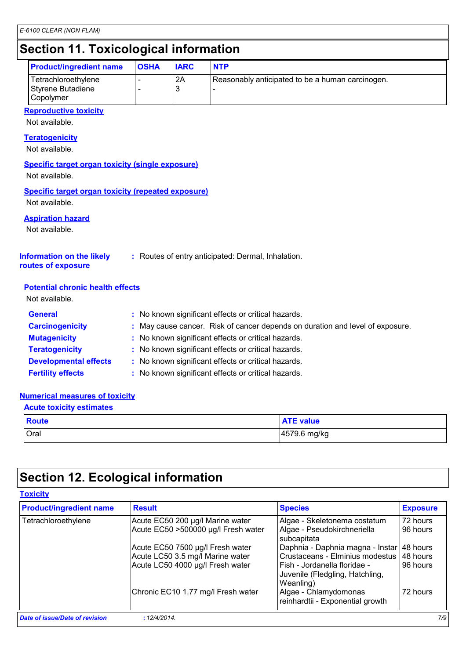### **Section 11. Toxicological information**

| secuoli II. I oxicological illiofiliationi            |             |             |                                                  |  |
|-------------------------------------------------------|-------------|-------------|--------------------------------------------------|--|
| <b>Product/ingredient name</b>                        | <b>OSHA</b> | <b>IARC</b> | <b>NTP</b>                                       |  |
| Tetrachloroethylene<br>Styrene Butadiene<br>Copolymer | -<br>-      | 2A          | Reasonably anticipated to be a human carcinogen. |  |

#### **Reproductive toxicity**

Not available.

### **Teratogenicity**

Not available.

#### **Specific target organ toxicity (single exposure)**

Not available.

#### **Specific target organ toxicity (repeated exposure)** Not available.

**Aspiration hazard**

Not available.

#### **Information on the likely :** Routes of entry anticipated: Dermal, Inhalation.

**routes of exposure**

#### **Potential chronic health effects**

Not available.

| <b>General</b>               | : No known significant effects or critical hazards.                           |
|------------------------------|-------------------------------------------------------------------------------|
| <b>Carcinogenicity</b>       | : May cause cancer. Risk of cancer depends on duration and level of exposure. |
| <b>Mutagenicity</b>          | : No known significant effects or critical hazards.                           |
| <b>Teratogenicity</b>        | : No known significant effects or critical hazards.                           |
| <b>Developmental effects</b> | : No known significant effects or critical hazards.                           |
| <b>Fertility effects</b>     | : No known significant effects or critical hazards.                           |

#### **Numerical measures of toxicity**

#### **Acute toxicity estimates**

| <b>Route</b> | <b>ATE value</b> |
|--------------|------------------|
| Oral         | 4579.6 mg/kg     |

### **Section 12. Ecological information**

#### **Toxicity**

| <b>Product/ingredient name</b>        | <b>Result</b>                       | <b>Species</b>                                                               | <b>Exposure</b> |
|---------------------------------------|-------------------------------------|------------------------------------------------------------------------------|-----------------|
| Tetrachloroethylene                   | Acute EC50 200 µg/l Marine water    | Algae - Skeletonema costatum                                                 | 72 hours        |
|                                       | Acute EC50 >500000 µg/l Fresh water | Algae - Pseudokirchneriella<br>subcapitata                                   | 96 hours        |
|                                       | Acute EC50 7500 µg/l Fresh water    | Daphnia - Daphnia magna - Instar                                             | 48 hours        |
|                                       | Acute LC50 3.5 mg/l Marine water    | Crustaceans - Elminius modestus                                              | 48 hours        |
|                                       | Acute LC50 4000 µg/l Fresh water    | Fish - Jordanella floridae -<br>Juvenile (Fledgling, Hatchling,<br>Weanling) | 96 hours        |
|                                       | Chronic EC10 1.77 mg/l Fresh water  | Algae - Chlamydomonas<br>reinhardtii - Exponential growth                    | 72 hours        |
| <b>Date of issue/Date of revision</b> | : 12/4/2014.                        |                                                                              | 7/9             |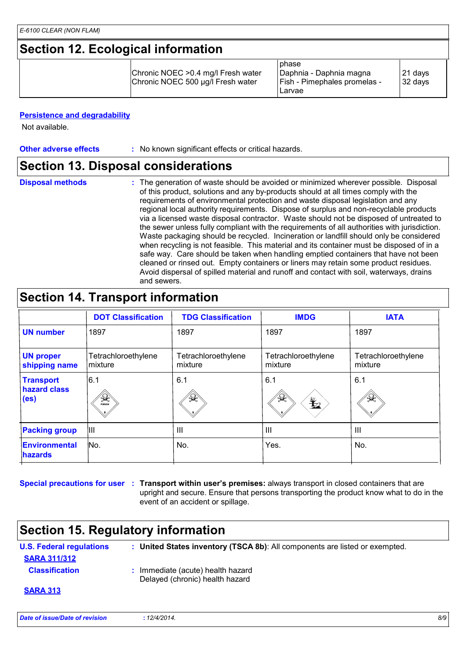### **Section 12. Ecological information**

|  | Chronic NOEC > 0.4 mg/l Fresh water<br>Chronic NOEC 500 µg/l Fresh water | phase<br> Daphnia - Daphnia magna<br>  Fish - Pimephales promelas -<br>Larvae | 21 days<br>32 days |  |  |
|--|--------------------------------------------------------------------------|-------------------------------------------------------------------------------|--------------------|--|--|

#### **Persistence and degradability**

Not available.

**Other adverse effects** : No known significant effects or critical hazards.

### **Section 13. Disposal considerations**

**Disposal methods :**

The generation of waste should be avoided or minimized wherever possible. Disposal of this product, solutions and any by-products should at all times comply with the requirements of environmental protection and waste disposal legislation and any regional local authority requirements. Dispose of surplus and non-recyclable products via a licensed waste disposal contractor. Waste should not be disposed of untreated to the sewer unless fully compliant with the requirements of all authorities with jurisdiction. Waste packaging should be recycled. Incineration or landfill should only be considered when recycling is not feasible. This material and its container must be disposed of in a safe way. Care should be taken when handling emptied containers that have not been cleaned or rinsed out. Empty containers or liners may retain some product residues. Avoid dispersal of spilled material and runoff and contact with soil, waterways, drains and sewers.

### **Section 14. Transport information**

|                                                       | <b>DOT Classification</b>      | <b>TDG Classification</b>      | <b>IMDG</b>                    | <b>IATA</b>                    |
|-------------------------------------------------------|--------------------------------|--------------------------------|--------------------------------|--------------------------------|
| <b>UN number</b>                                      | 1897                           | 1897                           | 1897                           | 1897                           |
| <b>UN proper</b><br>shipping name                     | Tetrachloroethylene<br>mixture | Tetrachloroethylene<br>mixture | Tetrachloroethylene<br>mixture | Tetrachloroethylene<br>mixture |
| <b>Transport</b><br>hazard class<br>(e <sub>s</sub> ) | 6.1<br>₩<br>POISON             | 6.1<br>洋                       | 6.1<br>$\Omega$<br>$\bigstar$  | 6.1<br>业                       |
| <b>Packing group</b>                                  | Ш                              | $\mathbf{III}$                 | $\mathbf{III}$                 | $\mathbf{III}$                 |
| Environmental<br><b>hazards</b>                       | No.                            | No.                            | Yes.                           | No.                            |

**Special precautions for user** : Transport within user's premises: always transport in closed containers that are upright and secure. Ensure that persons transporting the product know what to do in the event of an accident or spillage.

### **Section 15. Regulatory information**

| <b>U.S. Federal regulations</b> | : United States inventory (TSCA 8b): All components are listed or exempted. |
|---------------------------------|-----------------------------------------------------------------------------|
| <b>SARA 311/312</b>             |                                                                             |
| <b>Classification</b>           | : Immediate (acute) health hazard<br>Delayed (chronic) health hazard        |
| <b>SARA 313</b>                 |                                                                             |